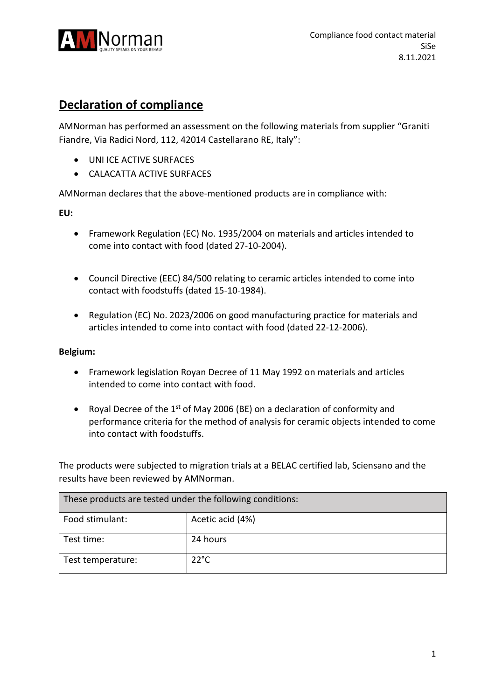

## **Declaration of compliance**

AMNorman has performed an assessment on the following materials from supplier "Graniti Fiandre, Via Radici Nord, 112, 42014 Castellarano RE, Italy":

- UNI ICE ACTIVE SURFACES
- CALACATTA ACTIVE SURFACES

AMNorman declares that the above-mentioned products are in compliance with:

**EU:**

- Framework Regulation (EC) No. 1935/2004 on materials and articles intended to come into contact with food (dated 27-10-2004).
- Council Directive (EEC) 84/500 relating to ceramic articles intended to come into contact with foodstuffs (dated 15-10-1984).
- Regulation (EC) No. 2023/2006 on good manufacturing practice for materials and articles intended to come into contact with food (dated 22-12-2006).

## **Belgium:**

- Framework legislation Royan Decree of 11 May 1992 on materials and articles intended to come into contact with food.
- Royal Decree of the  $1<sup>st</sup>$  of May 2006 (BE) on a declaration of conformity and performance criteria for the method of analysis for ceramic objects intended to come into contact with foodstuffs.

The products were subjected to migration trials at a BELAC certified lab, Sciensano and the results have been reviewed by AMNorman.

| These products are tested under the following conditions: |                  |  |
|-----------------------------------------------------------|------------------|--|
| Food stimulant:                                           | Acetic acid (4%) |  |
| Test time:                                                | 24 hours         |  |
| Test temperature:                                         | $22^{\circ}$ C   |  |